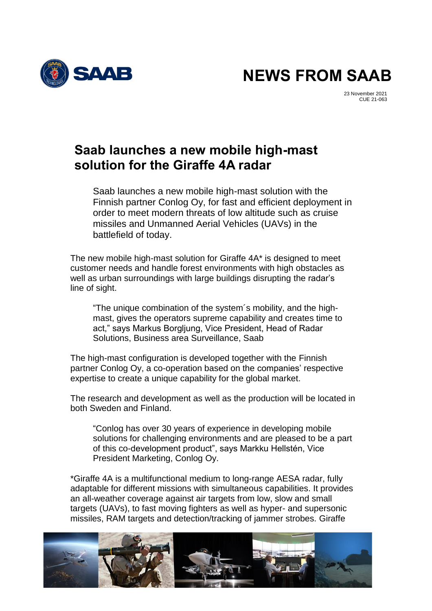

**NEWS FROM SAAB**

23 November 2021 CUE 21-063

## **Saab launches a new mobile high-mast solution for the Giraffe 4A radar**

Saab launches a new mobile high-mast solution with the Finnish partner Conlog Oy, for fast and efficient deployment in order to meet modern threats of low altitude such as cruise missiles and Unmanned Aerial Vehicles (UAVs) in the battlefield of today.

The new mobile high-mast solution for Giraffe 4A\* is designed to meet customer needs and handle forest environments with high obstacles as well as urban surroundings with large buildings disrupting the radar's line of sight.

"The unique combination of the system´s mobility, and the highmast, gives the operators supreme capability and creates time to act," says Markus Borgljung, Vice President, Head of Radar Solutions, Business area Surveillance, Saab

The high-mast configuration is developed together with the Finnish partner Conlog Oy, a co-operation based on the companies' respective expertise to create a unique capability for the global market.

The research and development as well as the production will be located in both Sweden and Finland.

"Conlog has over 30 years of experience in developing mobile solutions for challenging environments and are pleased to be a part of this co-development product", says Markku Hellstén, Vice President Marketing, Conlog Oy.

\*Giraffe 4A is a multifunctional medium to long-range AESA radar, fully adaptable for different missions with simultaneous capabilities. It provides an all-weather coverage against air targets from low, slow and small targets (UAVs), to fast moving fighters as well as hyper- and supersonic missiles, RAM targets and detection/tracking of jammer strobes. Giraffe